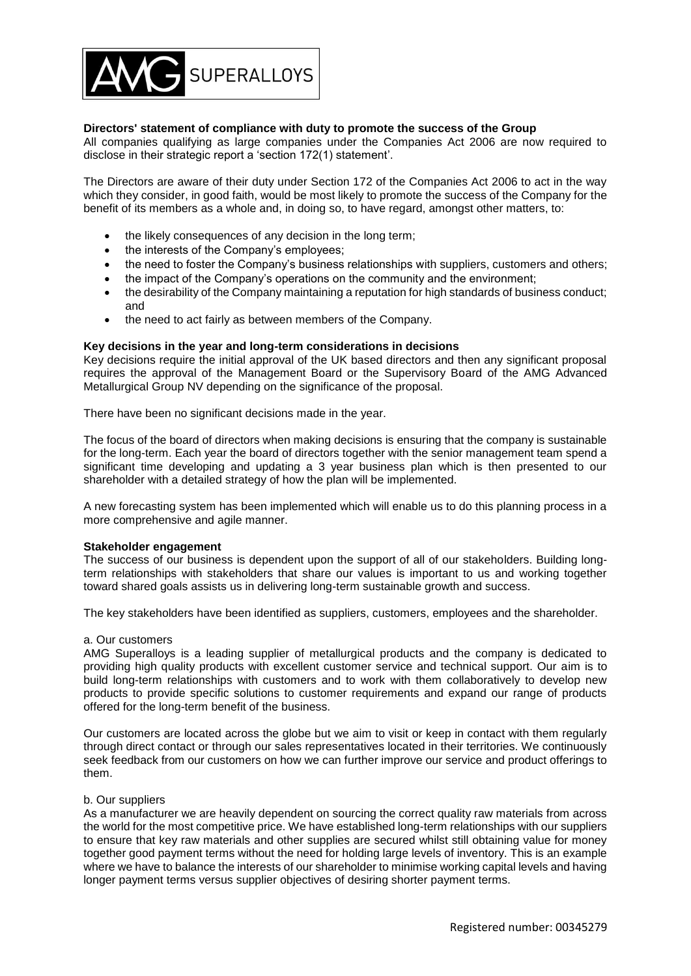

# **Directors' statement of compliance with duty to promote the success of the Group**

All companies qualifying as large companies under the Companies Act 2006 are now required to disclose in their strategic report a 'section 172(1) statement'.

The Directors are aware of their duty under Section 172 of the Companies Act 2006 to act in the way which they consider, in good faith, would be most likely to promote the success of the Company for the benefit of its members as a whole and, in doing so, to have regard, amongst other matters, to:

- the likely consequences of any decision in the long term;
- the interests of the Company's employees:
- the need to foster the Company's business relationships with suppliers, customers and others;
- the impact of the Company's operations on the community and the environment;
- the desirability of the Company maintaining a reputation for high standards of business conduct; and
- the need to act fairly as between members of the Company.

## **Key decisions in the year and long-term considerations in decisions**

Key decisions require the initial approval of the UK based directors and then any significant proposal requires the approval of the Management Board or the Supervisory Board of the AMG Advanced Metallurgical Group NV depending on the significance of the proposal.

There have been no significant decisions made in the year.

The focus of the board of directors when making decisions is ensuring that the company is sustainable for the long-term. Each year the board of directors together with the senior management team spend a significant time developing and updating a 3 year business plan which is then presented to our shareholder with a detailed strategy of how the plan will be implemented.

A new forecasting system has been implemented which will enable us to do this planning process in a more comprehensive and agile manner.

## **Stakeholder engagement**

The success of our business is dependent upon the support of all of our stakeholders. Building longterm relationships with stakeholders that share our values is important to us and working together toward shared goals assists us in delivering long-term sustainable growth and success.

The key stakeholders have been identified as suppliers, customers, employees and the shareholder.

## a. Our customers

AMG Superalloys is a leading supplier of metallurgical products and the company is dedicated to providing high quality products with excellent customer service and technical support. Our aim is to build long-term relationships with customers and to work with them collaboratively to develop new products to provide specific solutions to customer requirements and expand our range of products offered for the long-term benefit of the business.

Our customers are located across the globe but we aim to visit or keep in contact with them regularly through direct contact or through our sales representatives located in their territories. We continuously seek feedback from our customers on how we can further improve our service and product offerings to them.

## b. Our suppliers

As a manufacturer we are heavily dependent on sourcing the correct quality raw materials from across the world for the most competitive price. We have established long-term relationships with our suppliers to ensure that key raw materials and other supplies are secured whilst still obtaining value for money together good payment terms without the need for holding large levels of inventory. This is an example where we have to balance the interests of our shareholder to minimise working capital levels and having longer payment terms versus supplier objectives of desiring shorter payment terms.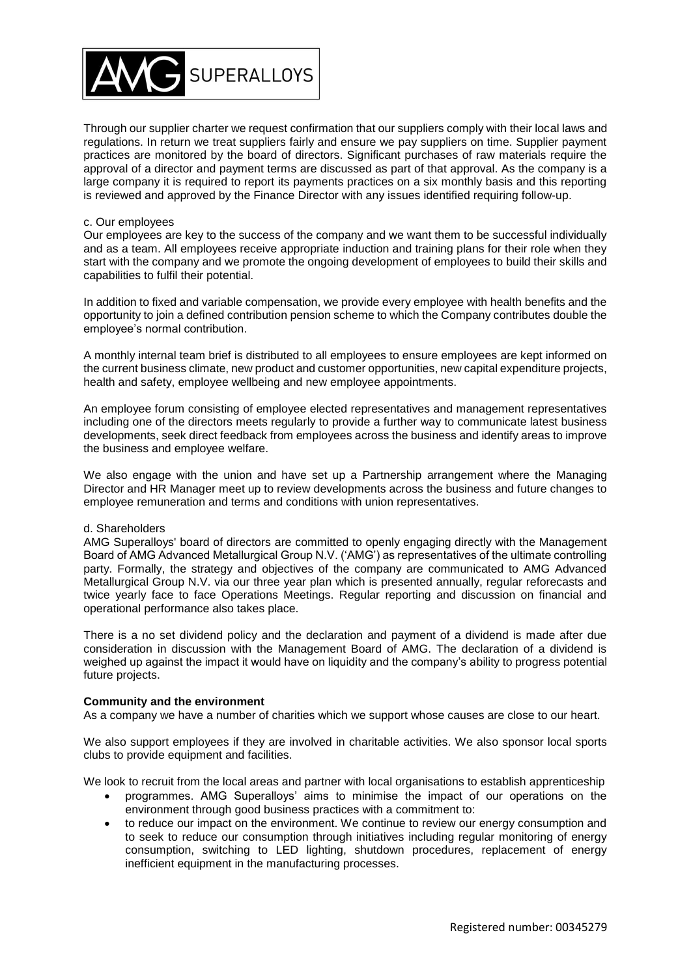

Through our supplier charter we request confirmation that our suppliers comply with their local laws and regulations. In return we treat suppliers fairly and ensure we pay suppliers on time. Supplier payment practices are monitored by the board of directors. Significant purchases of raw materials require the approval of a director and payment terms are discussed as part of that approval. As the company is a large company it is required to report its payments practices on a six monthly basis and this reporting is reviewed and approved by the Finance Director with any issues identified requiring follow-up.

### c. Our employees

Our employees are key to the success of the company and we want them to be successful individually and as a team. All employees receive appropriate induction and training plans for their role when they start with the company and we promote the ongoing development of employees to build their skills and capabilities to fulfil their potential.

In addition to fixed and variable compensation, we provide every employee with health benefits and the opportunity to join a defined contribution pension scheme to which the Company contributes double the employee's normal contribution.

A monthly internal team brief is distributed to all employees to ensure employees are kept informed on the current business climate, new product and customer opportunities, new capital expenditure projects, health and safety, employee wellbeing and new employee appointments.

An employee forum consisting of employee elected representatives and management representatives including one of the directors meets regularly to provide a further way to communicate latest business developments, seek direct feedback from employees across the business and identify areas to improve the business and employee welfare.

We also engage with the union and have set up a Partnership arrangement where the Managing Director and HR Manager meet up to review developments across the business and future changes to employee remuneration and terms and conditions with union representatives.

## d. Shareholders

AMG Superalloys' board of directors are committed to openly engaging directly with the Management Board of AMG Advanced Metallurgical Group N.V. ('AMG') as representatives of the ultimate controlling party. Formally, the strategy and objectives of the company are communicated to AMG Advanced Metallurgical Group N.V. via our three year plan which is presented annually, regular reforecasts and twice yearly face to face Operations Meetings. Regular reporting and discussion on financial and operational performance also takes place.

There is a no set dividend policy and the declaration and payment of a dividend is made after due consideration in discussion with the Management Board of AMG. The declaration of a dividend is weighed up against the impact it would have on liquidity and the company's ability to progress potential future projects.

## **Community and the environment**

As a company we have a number of charities which we support whose causes are close to our heart.

We also support employees if they are involved in charitable activities. We also sponsor local sports clubs to provide equipment and facilities.

We look to recruit from the local areas and partner with local organisations to establish apprenticeship

- programmes. AMG Superalloys' aims to minimise the impact of our operations on the environment through good business practices with a commitment to:
- to reduce our impact on the environment. We continue to review our energy consumption and to seek to reduce our consumption through initiatives including regular monitoring of energy consumption, switching to LED lighting, shutdown procedures, replacement of energy inefficient equipment in the manufacturing processes.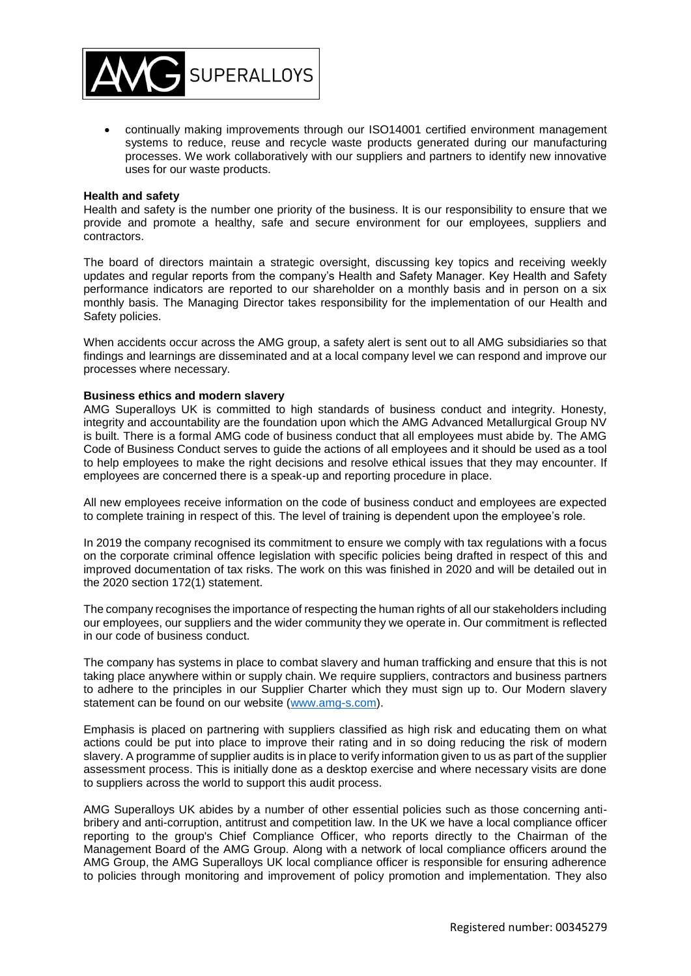

 continually making improvements through our ISO14001 certified environment management systems to reduce, reuse and recycle waste products generated during our manufacturing processes. We work collaboratively with our suppliers and partners to identify new innovative uses for our waste products.

#### **Health and safety**

Health and safety is the number one priority of the business. It is our responsibility to ensure that we provide and promote a healthy, safe and secure environment for our employees, suppliers and contractors.

The board of directors maintain a strategic oversight, discussing key topics and receiving weekly updates and regular reports from the company's Health and Safety Manager. Key Health and Safety performance indicators are reported to our shareholder on a monthly basis and in person on a six monthly basis. The Managing Director takes responsibility for the implementation of our Health and Safety policies.

When accidents occur across the AMG group, a safety alert is sent out to all AMG subsidiaries so that findings and learnings are disseminated and at a local company level we can respond and improve our processes where necessary.

#### **Business ethics and modern slavery**

AMG Superalloys UK is committed to high standards of business conduct and integrity. Honesty, integrity and accountability are the foundation upon which the AMG Advanced Metallurgical Group NV is built. There is a formal AMG code of business conduct that all employees must abide by. The AMG Code of Business Conduct serves to guide the actions of all employees and it should be used as a tool to help employees to make the right decisions and resolve ethical issues that they may encounter. If employees are concerned there is a speak-up and reporting procedure in place.

All new employees receive information on the code of business conduct and employees are expected to complete training in respect of this. The level of training is dependent upon the employee's role.

In 2019 the company recognised its commitment to ensure we comply with tax regulations with a focus on the corporate criminal offence legislation with specific policies being drafted in respect of this and improved documentation of tax risks. The work on this was finished in 2020 and will be detailed out in the 2020 section 172(1) statement.

The company recognises the importance of respecting the human rights of all our stakeholders including our employees, our suppliers and the wider community they we operate in. Our commitment is reflected in our code of business conduct.

The company has systems in place to combat slavery and human trafficking and ensure that this is not taking place anywhere within or supply chain. We require suppliers, contractors and business partners to adhere to the principles in our Supplier Charter which they must sign up to. Our Modern slavery statement can be found on our website [\(www.amg-s.com\)](http://www.amg-s.com/).

Emphasis is placed on partnering with suppliers classified as high risk and educating them on what actions could be put into place to improve their rating and in so doing reducing the risk of modern slavery. A programme of supplier audits is in place to verify information given to us as part of the supplier assessment process. This is initially done as a desktop exercise and where necessary visits are done to suppliers across the world to support this audit process.

AMG Superalloys UK abides by a number of other essential policies such as those concerning antibribery and anti-corruption, antitrust and competition law. In the UK we have a local compliance officer reporting to the group's Chief Compliance Officer, who reports directly to the Chairman of the Management Board of the AMG Group. Along with a network of local compliance officers around the AMG Group, the AMG Superalloys UK local compliance officer is responsible for ensuring adherence to policies through monitoring and improvement of policy promotion and implementation. They also